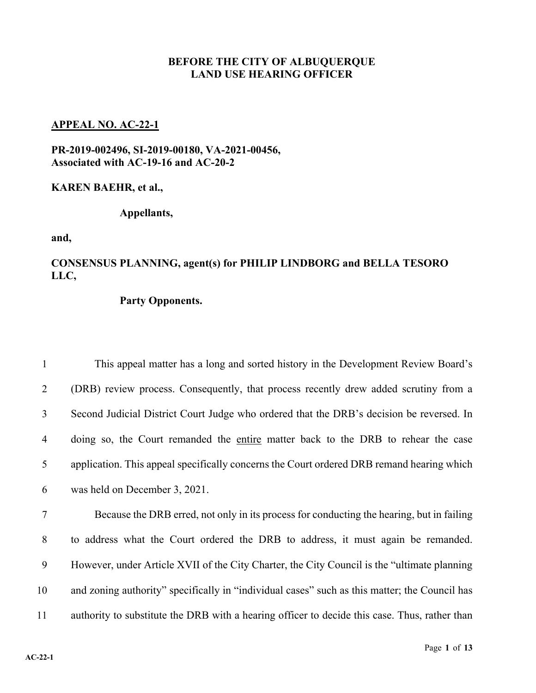## **BEFORE THE CITY OF ALBUQUERQUE LAND USE HEARING OFFICER**

## **APPEAL NO. AC-22-1**

**PR-2019-002496, SI-2019-00180, VA-2021-00456, Associated with AC-19-16 and AC-20-2**

**KAREN BAEHR, et al.,**

**Appellants,**

**and,**

## **CONSENSUS PLANNING, agent(s) for PHILIP LINDBORG and BELLA TESORO LLC,**

## **Party Opponents.**

| $\mathbf{1}$   | This appeal matter has a long and sorted history in the Development Review Board's        |
|----------------|-------------------------------------------------------------------------------------------|
| 2              | (DRB) review process. Consequently, that process recently drew added scrutiny from a      |
| 3              | Second Judicial District Court Judge who ordered that the DRB's decision be reversed. In  |
| $\overline{4}$ | doing so, the Court remanded the entire matter back to the DRB to rehear the case         |
| 5              | application. This appeal specifically concerns the Court ordered DRB remand hearing which |
| 6              | was held on December 3, 2021.                                                             |
| 7              | Because the DRB erred, not only in its process for conducting the hearing, but in failing |

 to address what the Court ordered the DRB to address, it must again be remanded. However, under Article XVII of the City Charter, the City Council is the "ultimate planning and zoning authority" specifically in "individual cases" such as this matter; the Council has authority to substitute the DRB with a hearing officer to decide this case. Thus, rather than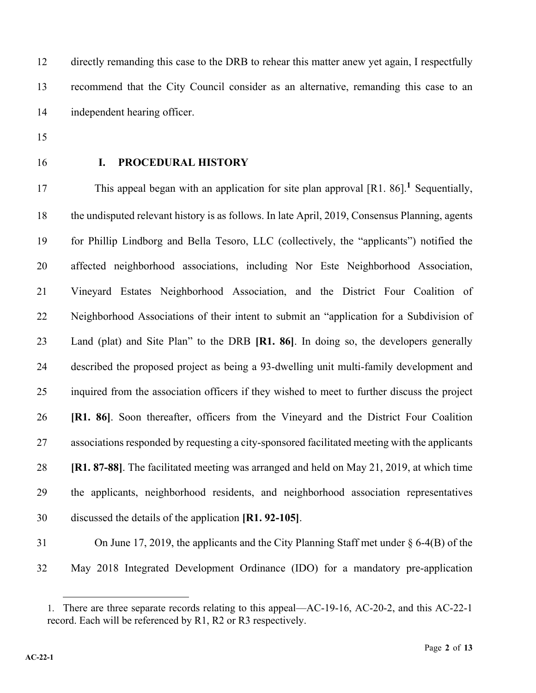directly remanding this case to the DRB to rehear this matter anew yet again, I respectfully recommend that the City Council consider as an alternative, remanding this case to an independent hearing officer.

- 
- 

# **I. PROCEDURAL HISTORY**

This appeal began with an application for site plan approval [R1. 86].<sup>1</sup> Sequentially, the undisputed relevant history is as follows. In late April, 2019, Consensus Planning, agents for Phillip Lindborg and Bella Tesoro, LLC (collectively, the "applicants") notified the affected neighborhood associations, including Nor Este Neighborhood Association, Vineyard Estates Neighborhood Association, and the District Four Coalition of Neighborhood Associations of their intent to submit an "application for a Subdivision of Land (plat) and Site Plan" to the DRB **[R1. 86]**. In doing so, the developers generally described the proposed project as being a 93-dwelling unit multi-family development and inquired from the association officers if they wished to meet to further discuss the project **[R1. 86]**. Soon thereafter, officers from the Vineyard and the District Four Coalition associations responded by requesting a city-sponsored facilitated meeting with the applicants **[R1. 87-88]**. The facilitated meeting was arranged and held on May 21, 2019, at which time the applicants, neighborhood residents, and neighborhood association representatives discussed the details of the application **[R1. 92-105]**.

 On June 17, 2019, the applicants and the City Planning Staff met under § 6-4(B) of the May 2018 Integrated Development Ordinance (IDO) for a mandatory pre-application

<sup>1.</sup> There are three separate records relating to this appeal—AC-19-16, AC-20-2, and this AC-22-1 record. Each will be referenced by R1, R2 or R3 respectively.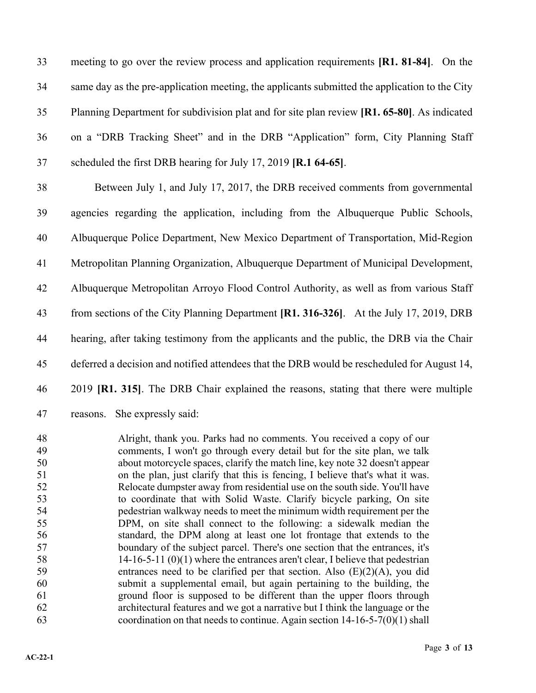meeting to go over the review process and application requirements **[R1. 81-84]**. On the same day as the pre-application meeting, the applicants submitted the application to the City Planning Department for subdivision plat and for site plan review **[R1. 65-80]**. As indicated on a "DRB Tracking Sheet" and in the DRB "Application" form, City Planning Staff scheduled the first DRB hearing for July 17, 2019 **[R.1 64-65]**.

 Between July 1, and July 17, 2017, the DRB received comments from governmental agencies regarding the application, including from the Albuquerque Public Schools, Albuquerque Police Department, New Mexico Department of Transportation, Mid-Region Metropolitan Planning Organization, Albuquerque Department of Municipal Development, Albuquerque Metropolitan Arroyo Flood Control Authority, as well as from various Staff from sections of the City Planning Department **[R1. 316-326]**. At the July 17, 2019, DRB hearing, after taking testimony from the applicants and the public, the DRB via the Chair 45 deferred a decision and notified attendees that the DRB would be rescheduled for August 14, 2019 **[R1. 315]**. The DRB Chair explained the reasons, stating that there were multiple reasons. She expressly said:

 Alright, thank you. Parks had no comments. You received a copy of our comments, I won't go through every detail but for the site plan, we talk about motorcycle spaces, clarify the match line, key note 32 doesn't appear on the plan, just clarify that this is fencing, I believe that's what it was. Relocate dumpster away from residential use on the south side. You'll have to coordinate that with Solid Waste. Clarify bicycle parking, On site pedestrian walkway needs to meet the minimum width requirement per the DPM, on site shall connect to the following: a sidewalk median the standard, the DPM along at least one lot frontage that extends to the boundary of the subject parcel. There's one section that the entrances, it's 14-16-5-11 (0)(1) where the entrances aren't clear, I believe that pedestrian 59 entrances need to be clarified per that section. Also  $(E)(2)(A)$ , you did submit a supplemental email, but again pertaining to the building, the ground floor is supposed to be different than the upper floors through architectural features and we got a narrative but I think the language or the 63 coordination on that needs to continue. Again section  $14-16-5-7(0)(1)$  shall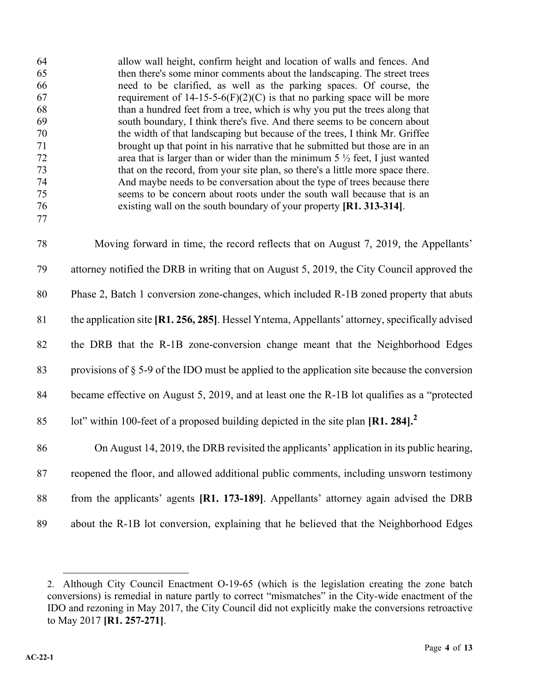| 64<br>65<br>66<br>67<br>68<br>69<br>70<br>71<br>72<br>73<br>74<br>75<br>76 | allow wall height, confirm height and location of walls and fences. And<br>then there's some minor comments about the landscaping. The street trees<br>need to be clarified, as well as the parking spaces. Of course, the<br>requirement of $14-15-5-6(F)(2)(C)$ is that no parking space will be more<br>than a hundred feet from a tree, which is why you put the trees along that<br>south boundary, I think there's five. And there seems to be concern about<br>the width of that landscaping but because of the trees, I think Mr. Griffee<br>brought up that point in his narrative that he submitted but those are in an<br>area that is larger than or wider than the minimum $5\frac{1}{2}$ feet, I just wanted<br>that on the record, from your site plan, so there's a little more space there.<br>And maybe needs to be conversation about the type of trees because there<br>seems to be concern about roots under the south wall because that is an<br>existing wall on the south boundary of your property [R1. 313-314]. |
|----------------------------------------------------------------------------|--------------------------------------------------------------------------------------------------------------------------------------------------------------------------------------------------------------------------------------------------------------------------------------------------------------------------------------------------------------------------------------------------------------------------------------------------------------------------------------------------------------------------------------------------------------------------------------------------------------------------------------------------------------------------------------------------------------------------------------------------------------------------------------------------------------------------------------------------------------------------------------------------------------------------------------------------------------------------------------------------------------------------------------------|
| 77                                                                         |                                                                                                                                                                                                                                                                                                                                                                                                                                                                                                                                                                                                                                                                                                                                                                                                                                                                                                                                                                                                                                            |
| 78                                                                         | Moving forward in time, the record reflects that on August 7, 2019, the Appellants'                                                                                                                                                                                                                                                                                                                                                                                                                                                                                                                                                                                                                                                                                                                                                                                                                                                                                                                                                        |
| 79                                                                         | attorney notified the DRB in writing that on August 5, 2019, the City Council approved the                                                                                                                                                                                                                                                                                                                                                                                                                                                                                                                                                                                                                                                                                                                                                                                                                                                                                                                                                 |
| 80                                                                         | Phase 2, Batch 1 conversion zone-changes, which included R-1B zoned property that abuts                                                                                                                                                                                                                                                                                                                                                                                                                                                                                                                                                                                                                                                                                                                                                                                                                                                                                                                                                    |
| 81                                                                         | the application site [R1. 256, 285]. Hessel Yntema, Appellants' attorney, specifically advised                                                                                                                                                                                                                                                                                                                                                                                                                                                                                                                                                                                                                                                                                                                                                                                                                                                                                                                                             |
| 82                                                                         | the DRB that the R-1B zone-conversion change meant that the Neighborhood Edges                                                                                                                                                                                                                                                                                                                                                                                                                                                                                                                                                                                                                                                                                                                                                                                                                                                                                                                                                             |
| 83                                                                         | provisions of $\S$ 5-9 of the IDO must be applied to the application site because the conversion                                                                                                                                                                                                                                                                                                                                                                                                                                                                                                                                                                                                                                                                                                                                                                                                                                                                                                                                           |
| 84                                                                         | became effective on August 5, 2019, and at least one the R-1B lot qualifies as a "protected                                                                                                                                                                                                                                                                                                                                                                                                                                                                                                                                                                                                                                                                                                                                                                                                                                                                                                                                                |
| 85                                                                         | lot" within 100-feet of a proposed building depicted in the site plan $\left[\mathbf{R1.284}\right]^2$                                                                                                                                                                                                                                                                                                                                                                                                                                                                                                                                                                                                                                                                                                                                                                                                                                                                                                                                     |
| 86                                                                         | On August 14, 2019, the DRB revisited the applicants' application in its public hearing,                                                                                                                                                                                                                                                                                                                                                                                                                                                                                                                                                                                                                                                                                                                                                                                                                                                                                                                                                   |
| 87                                                                         | reopened the floor, and allowed additional public comments, including unsworn testimony                                                                                                                                                                                                                                                                                                                                                                                                                                                                                                                                                                                                                                                                                                                                                                                                                                                                                                                                                    |
| 88                                                                         | from the applicants' agents [R1. 173-189]. Appellants' attorney again advised the DRB                                                                                                                                                                                                                                                                                                                                                                                                                                                                                                                                                                                                                                                                                                                                                                                                                                                                                                                                                      |
| 89                                                                         | about the R-1B lot conversion, explaining that he believed that the Neighborhood Edges                                                                                                                                                                                                                                                                                                                                                                                                                                                                                                                                                                                                                                                                                                                                                                                                                                                                                                                                                     |

<sup>2.</sup> Although City Council Enactment O-19-65 (which is the legislation creating the zone batch conversions) is remedial in nature partly to correct "mismatches" in the City-wide enactment of the IDO and rezoning in May 2017, the City Council did not explicitly make the conversions retroactive to May 2017 **[R1. 257-271]**.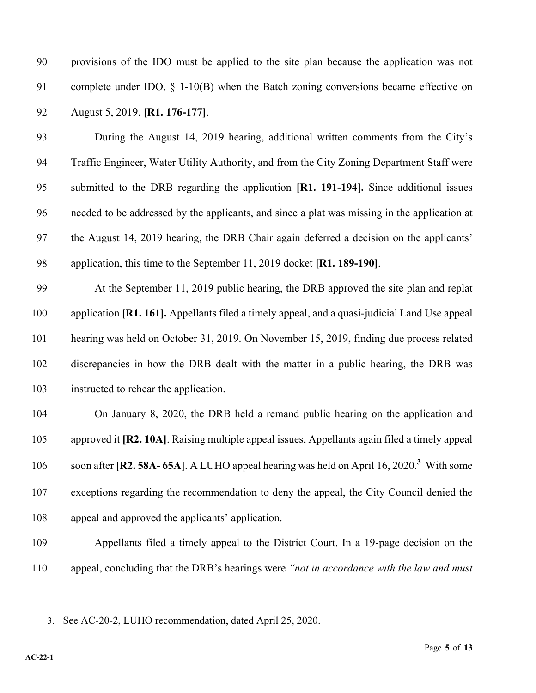provisions of the IDO must be applied to the site plan because the application was not complete under IDO, § 1-10(B) when the Batch zoning conversions became effective on August 5, 2019. **[R1. 176-177]**.

 During the August 14, 2019 hearing, additional written comments from the City's Traffic Engineer, Water Utility Authority, and from the City Zoning Department Staff were submitted to the DRB regarding the application **[R1. 191-194].** Since additional issues needed to be addressed by the applicants, and since a plat was missing in the application at the August 14, 2019 hearing, the DRB Chair again deferred a decision on the applicants' application, this time to the September 11, 2019 docket **[R1. 189-190]**.

 At the September 11, 2019 public hearing, the DRB approved the site plan and replat application **[R1. 161].** Appellants filed a timely appeal, and a quasi-judicial Land Use appeal hearing was held on October 31, 2019. On November 15, 2019, finding due process related discrepancies in how the DRB dealt with the matter in a public hearing, the DRB was instructed to rehear the application.

 On January 8, 2020, the DRB held a remand public hearing on the application and approved it **[R2. 10A]**. Raising multiple appeal issues, Appellants again filed a timely appeal 106 soon after **[R2. 58A-65A]**. A LUHO appeal hearing was held on April 16, 2020.<sup>3</sup> With some exceptions regarding the recommendation to deny the appeal, the City Council denied the appeal and approved the applicants' application.

- Appellants filed a timely appeal to the District Court. In a 19-page decision on the appeal, concluding that the DRB's hearings were *"not in accordance with the law and must*
- 

<sup>3.</sup> See AC-20-2, LUHO recommendation, dated April 25, 2020.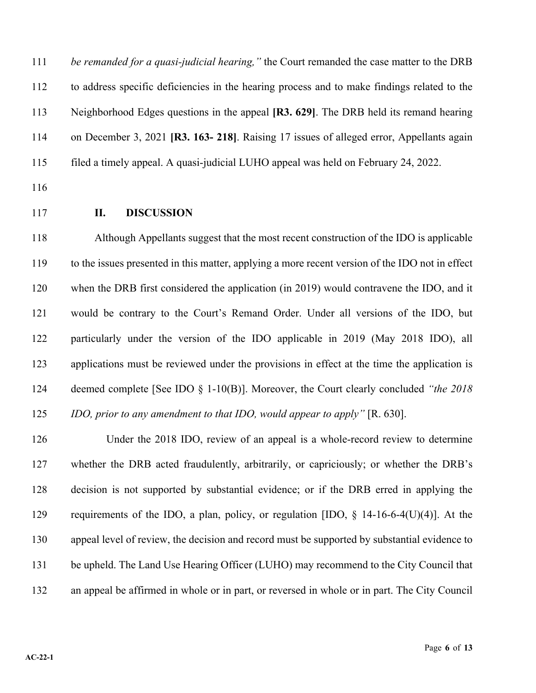*be remanded for a quasi-judicial hearing,"* the Court remanded the case matter to the DRB to address specific deficiencies in the hearing process and to make findings related to the Neighborhood Edges questions in the appeal **[R3. 629]**. The DRB held its remand hearing on December 3, 2021 **[R3. 163- 218]**. Raising 17 issues of alleged error, Appellants again filed a timely appeal. A quasi-judicial LUHO appeal was held on February 24, 2022.

## **II. DISCUSSION**

 Although Appellants suggest that the most recent construction of the IDO is applicable to the issues presented in this matter, applying a more recent version of the IDO not in effect when the DRB first considered the application (in 2019) would contravene the IDO, and it would be contrary to the Court's Remand Order. Under all versions of the IDO, but particularly under the version of the IDO applicable in 2019 (May 2018 IDO), all applications must be reviewed under the provisions in effect at the time the application is deemed complete [See IDO § 1-10(B)]. Moreover, the Court clearly concluded *"the 2018 IDO, prior to any amendment to that IDO, would appear to apply"* [R. 630].

 Under the 2018 IDO, review of an appeal is a whole-record review to determine whether the DRB acted fraudulently, arbitrarily, or capriciously; or whether the DRB's decision is not supported by substantial evidence; or if the DRB erred in applying the requirements of the IDO, a plan, policy, or regulation [IDO, § 14-16-6-4(U)(4)]. At the appeal level of review, the decision and record must be supported by substantial evidence to 131 be upheld. The Land Use Hearing Officer (LUHO) may recommend to the City Council that an appeal be affirmed in whole or in part, or reversed in whole or in part. The City Council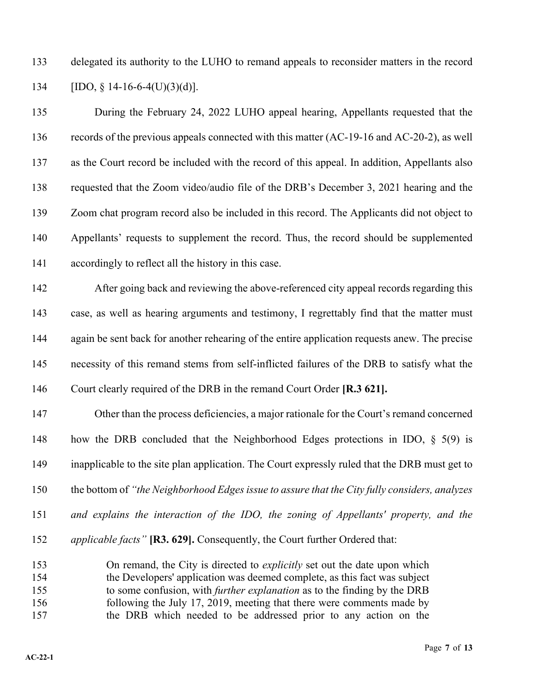delegated its authority to the LUHO to remand appeals to reconsider matters in the record [IDO, § 14-16-6-4(U)(3)(d)].

 During the February 24, 2022 LUHO appeal hearing, Appellants requested that the records of the previous appeals connected with this matter (AC-19-16 and AC-20-2), as well as the Court record be included with the record of this appeal. In addition, Appellants also requested that the Zoom video/audio file of the DRB's December 3, 2021 hearing and the Zoom chat program record also be included in this record. The Applicants did not object to Appellants' requests to supplement the record. Thus, the record should be supplemented accordingly to reflect all the history in this case.

 After going back and reviewing the above-referenced city appeal records regarding this case, as well as hearing arguments and testimony, I regrettably find that the matter must 144 again be sent back for another rehearing of the entire application requests anew. The precise necessity of this remand stems from self-inflicted failures of the DRB to satisfy what the Court clearly required of the DRB in the remand Court Order **[R.3 621].**

 Other than the process deficiencies, a major rationale for the Court's remand concerned how the DRB concluded that the Neighborhood Edges protections in IDO, § 5(9) is inapplicable to the site plan application. The Court expressly ruled that the DRB must get to the bottom of *"the Neighborhood Edges issue to assure that the City fully considers, analyzes and explains the interaction of the IDO, the zoning of Appellants' property, and the applicable facts"* **[R3. 629].** Consequently, the Court further Ordered that:

 On remand, the City is directed to *explicitly* set out the date upon which the Developers' application was deemed complete, as this fact was subject to some confusion, with *further explanation* as to the finding by the DRB following the July 17, 2019, meeting that there were comments made by the DRB which needed to be addressed prior to any action on the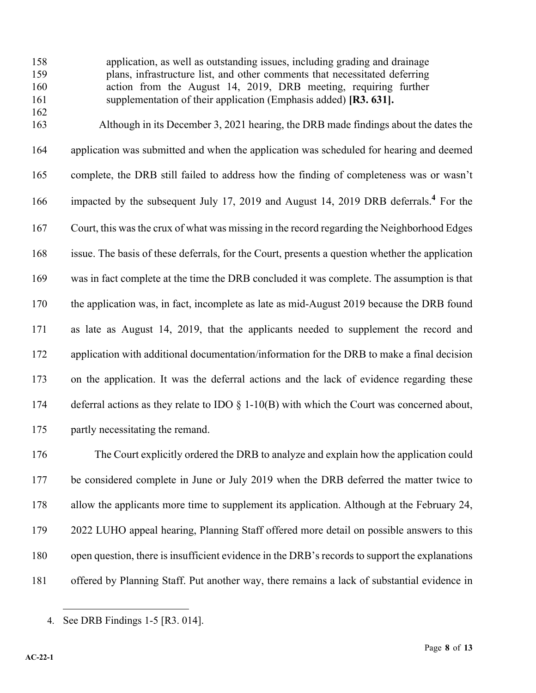application, as well as outstanding issues, including grading and drainage plans, infrastructure list, and other comments that necessitated deferring action from the August 14, 2019, DRB meeting, requiring further supplementation of their application (Emphasis added) **[R3. 631].**

 Although in its December 3, 2021 hearing, the DRB made findings about the dates the application was submitted and when the application was scheduled for hearing and deemed complete, the DRB still failed to address how the finding of completeness was or wasn't 166 impacted by the subsequent July 17, 2019 and August 14, 2019 DRB deferrals.<sup>4</sup> For the Court, this was the crux of what was missing in the record regarding the Neighborhood Edges issue. The basis of these deferrals, for the Court, presents a question whether the application was in fact complete at the time the DRB concluded it was complete. The assumption is that the application was, in fact, incomplete as late as mid-August 2019 because the DRB found as late as August 14, 2019, that the applicants needed to supplement the record and 172 application with additional documentation/information for the DRB to make a final decision on the application. It was the deferral actions and the lack of evidence regarding these 174 deferral actions as they relate to IDO  $\S$  1-10(B) with which the Court was concerned about, partly necessitating the remand.

 The Court explicitly ordered the DRB to analyze and explain how the application could 177 be considered complete in June or July 2019 when the DRB deferred the matter twice to allow the applicants more time to supplement its application. Although at the February 24, 2022 LUHO appeal hearing, Planning Staff offered more detail on possible answers to this open question, there is insufficient evidence in the DRB's records to support the explanations offered by Planning Staff. Put another way, there remains a lack of substantial evidence in

<sup>4.</sup> See DRB Findings 1-5 [R3. 014].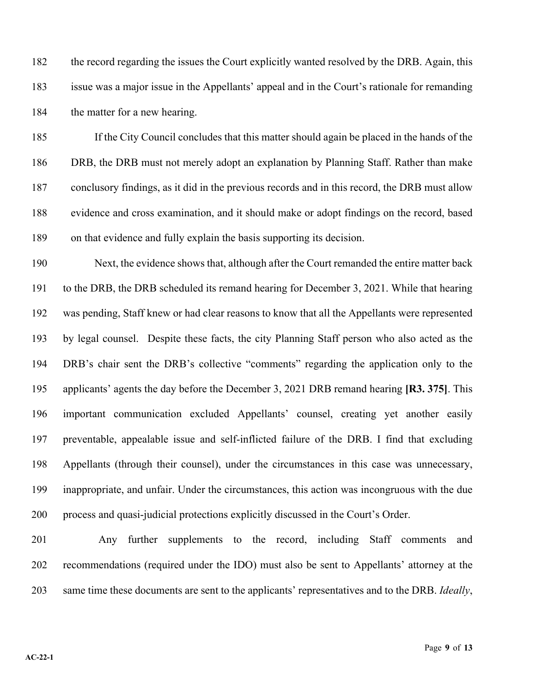the record regarding the issues the Court explicitly wanted resolved by the DRB. Again, this issue was a major issue in the Appellants' appeal and in the Court's rationale for remanding 184 the matter for a new hearing.

 If the City Council concludes that this matter should again be placed in the hands of the DRB, the DRB must not merely adopt an explanation by Planning Staff. Rather than make conclusory findings, as it did in the previous records and in this record, the DRB must allow evidence and cross examination, and it should make or adopt findings on the record, based on that evidence and fully explain the basis supporting its decision.

 Next, the evidence shows that, although after the Court remanded the entire matter back to the DRB, the DRB scheduled its remand hearing for December 3, 2021. While that hearing was pending, Staff knew or had clear reasons to know that all the Appellants were represented by legal counsel. Despite these facts, the city Planning Staff person who also acted as the DRB's chair sent the DRB's collective "comments" regarding the application only to the applicants' agents the day before the December 3, 2021 DRB remand hearing **[R3. 375]**. This important communication excluded Appellants' counsel, creating yet another easily preventable, appealable issue and self-inflicted failure of the DRB. I find that excluding Appellants (through their counsel), under the circumstances in this case was unnecessary, inappropriate, and unfair. Under the circumstances, this action was incongruous with the due process and quasi-judicial protections explicitly discussed in the Court's Order.

 Any further supplements to the record, including Staff comments and recommendations (required under the IDO) must also be sent to Appellants' attorney at the same time these documents are sent to the applicants' representatives and to the DRB. *Ideally*,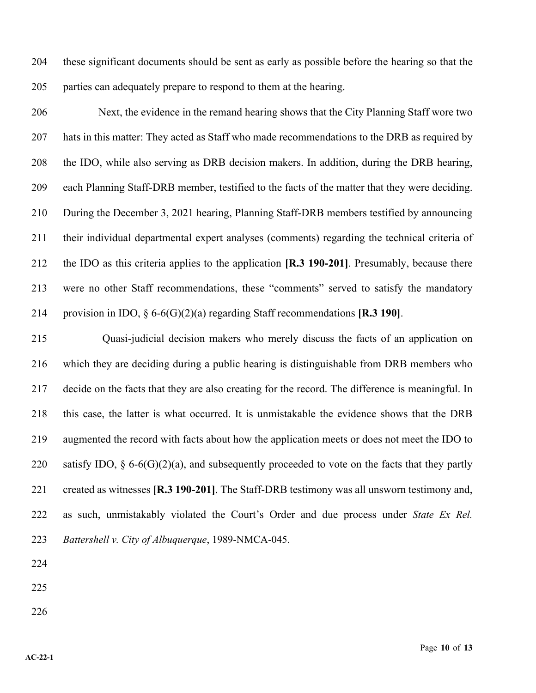these significant documents should be sent as early as possible before the hearing so that the parties can adequately prepare to respond to them at the hearing.

 Next, the evidence in the remand hearing shows that the City Planning Staff wore two 207 hats in this matter: They acted as Staff who made recommendations to the DRB as required by the IDO, while also serving as DRB decision makers. In addition, during the DRB hearing, each Planning Staff-DRB member, testified to the facts of the matter that they were deciding. During the December 3, 2021 hearing, Planning Staff-DRB members testified by announcing their individual departmental expert analyses (comments) regarding the technical criteria of the IDO as this criteria applies to the application **[R.3 190-201]**. Presumably, because there were no other Staff recommendations, these "comments" served to satisfy the mandatory provision in IDO, § 6-6(G)(2)(a) regarding Staff recommendations **[R.3 190]**.

 Quasi-judicial decision makers who merely discuss the facts of an application on which they are deciding during a public hearing is distinguishable from DRB members who decide on the facts that they are also creating for the record. The difference is meaningful. In this case, the latter is what occurred. It is unmistakable the evidence shows that the DRB augmented the record with facts about how the application meets or does not meet the IDO to 220 satisfy IDO,  $\S 6-6(G)(2)(a)$ , and subsequently proceeded to vote on the facts that they partly created as witnesses **[R.3 190-201]**. The Staff-DRB testimony was all unsworn testimony and, as such, unmistakably violated the Court's Order and due process under *State Ex Rel. Battershell v. City of Albuquerque*, 1989-NMCA-045.

- 
- 
-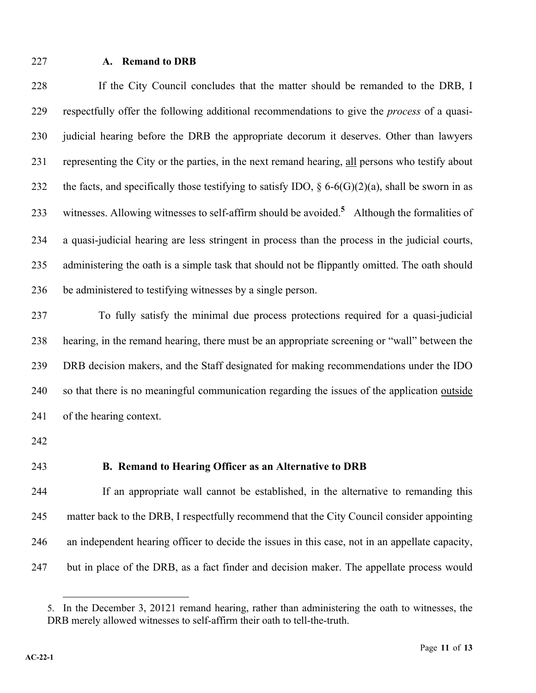#### **A. Remand to DRB**

 If the City Council concludes that the matter should be remanded to the DRB, I respectfully offer the following additional recommendations to give the *process* of a quasi- judicial hearing before the DRB the appropriate decorum it deserves. Other than lawyers representing the City or the parties, in the next remand hearing, all persons who testify about 232 the facts, and specifically those testifying to satisfy IDO,  $\S 6-6(G)(2)(a)$ , shall be sworn in as 233 witnesses. Allowing witnesses to self-affirm should be avoided.<sup>5</sup> Although the formalities of a quasi-judicial hearing are less stringent in process than the process in the judicial courts, 235 administering the oath is a simple task that should not be flippantly omitted. The oath should be administered to testifying witnesses by a single person.

 To fully satisfy the minimal due process protections required for a quasi-judicial hearing, in the remand hearing, there must be an appropriate screening or "wall" between the DRB decision makers, and the Staff designated for making recommendations under the IDO so that there is no meaningful communication regarding the issues of the application outside of the hearing context.

### **B. Remand to Hearing Officer as an Alternative to DRB**

 If an appropriate wall cannot be established, in the alternative to remanding this matter back to the DRB, I respectfully recommend that the City Council consider appointing an independent hearing officer to decide the issues in this case, not in an appellate capacity, but in place of the DRB, as a fact finder and decision maker. The appellate process would

<sup>5.</sup> In the December 3, 20121 remand hearing, rather than administering the oath to witnesses, the DRB merely allowed witnesses to self-affirm their oath to tell-the-truth.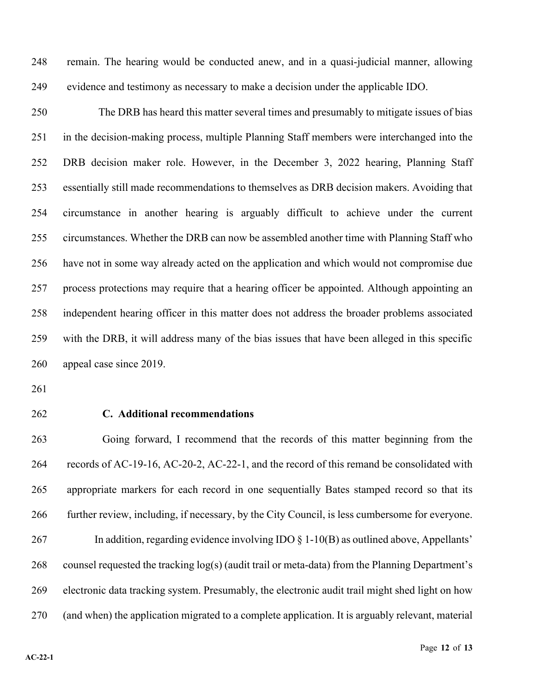remain. The hearing would be conducted anew, and in a quasi-judicial manner, allowing evidence and testimony as necessary to make a decision under the applicable IDO.

 The DRB has heard this matter several times and presumably to mitigate issues of bias in the decision-making process, multiple Planning Staff members were interchanged into the DRB decision maker role. However, in the December 3, 2022 hearing, Planning Staff essentially still made recommendations to themselves as DRB decision makers. Avoiding that circumstance in another hearing is arguably difficult to achieve under the current circumstances. Whether the DRB can now be assembled another time with Planning Staff who have not in some way already acted on the application and which would not compromise due process protections may require that a hearing officer be appointed. Although appointing an independent hearing officer in this matter does not address the broader problems associated with the DRB, it will address many of the bias issues that have been alleged in this specific appeal case since 2019.

### **C. Additional recommendations**

 Going forward, I recommend that the records of this matter beginning from the records of AC-19-16, AC-20-2, AC-22-1, and the record of this remand be consolidated with appropriate markers for each record in one sequentially Bates stamped record so that its further review, including, if necessary, by the City Council, is less cumbersome for everyone. 267 In addition, regarding evidence involving IDO  $\S$  1-10(B) as outlined above, Appellants' counsel requested the tracking log(s) (audit trail or meta-data) from the Planning Department's electronic data tracking system. Presumably, the electronic audit trail might shed light on how (and when) the application migrated to a complete application. It is arguably relevant, material